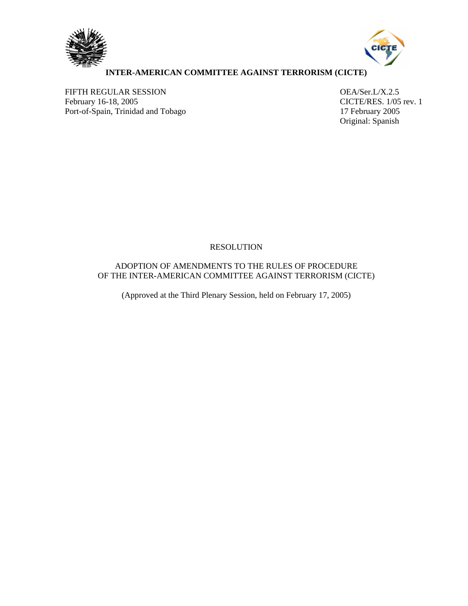



## **INTER-AMERICAN COMMITTEE AGAINST TERRORISM (CICTE)**

FIFTH REGULAR SESSION OEA/Ser.L/X.2.5<br>
February 16-18, 2005 CICTE/RES. 1/05 Port-of-Spain, Trinidad and Tobago 17 February 2005

CICTE/RES. 1/05 rev. 1 Original: Spanish

## RESOLUTION

# ADOPTION OF AMENDMENTS TO THE RULES OF PROCEDURE OF THE INTER-AMERICAN COMMITTEE AGAINST TERRORISM (CICTE)

(Approved at the Third Plenary Session, held on February 17, 2005)